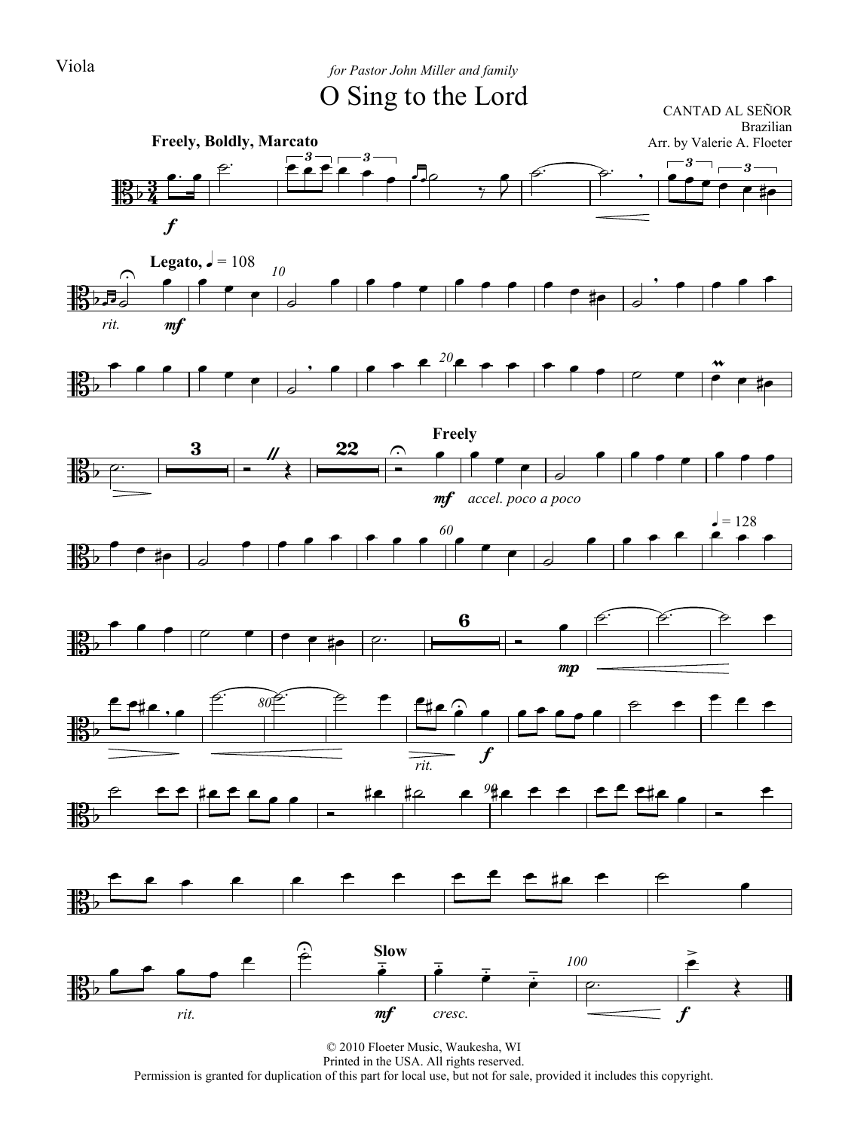### Viola *for Pastor John Miller and family*

### O Sing to the Lord

CANTAD AL SEÑOR Brazilian Arr. by Valerie A. Floeter



















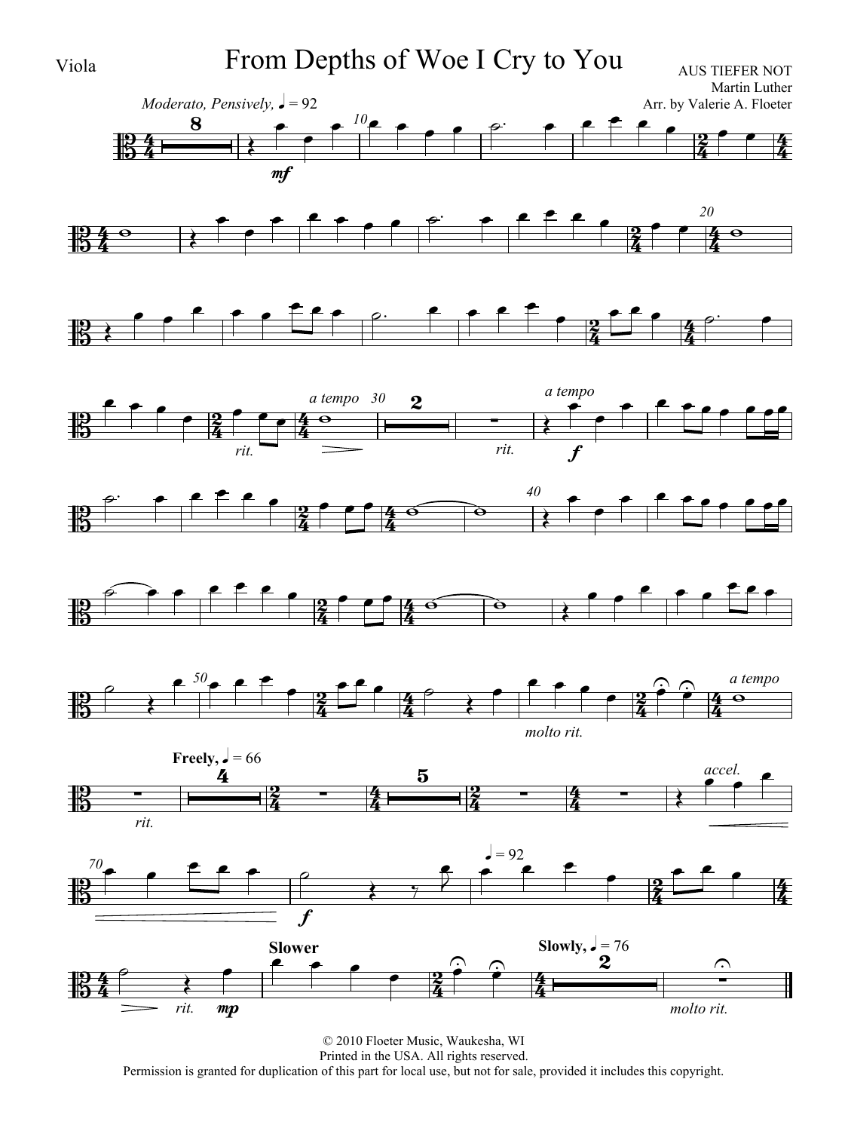

Viola From Depths of Woe I Cry to You



















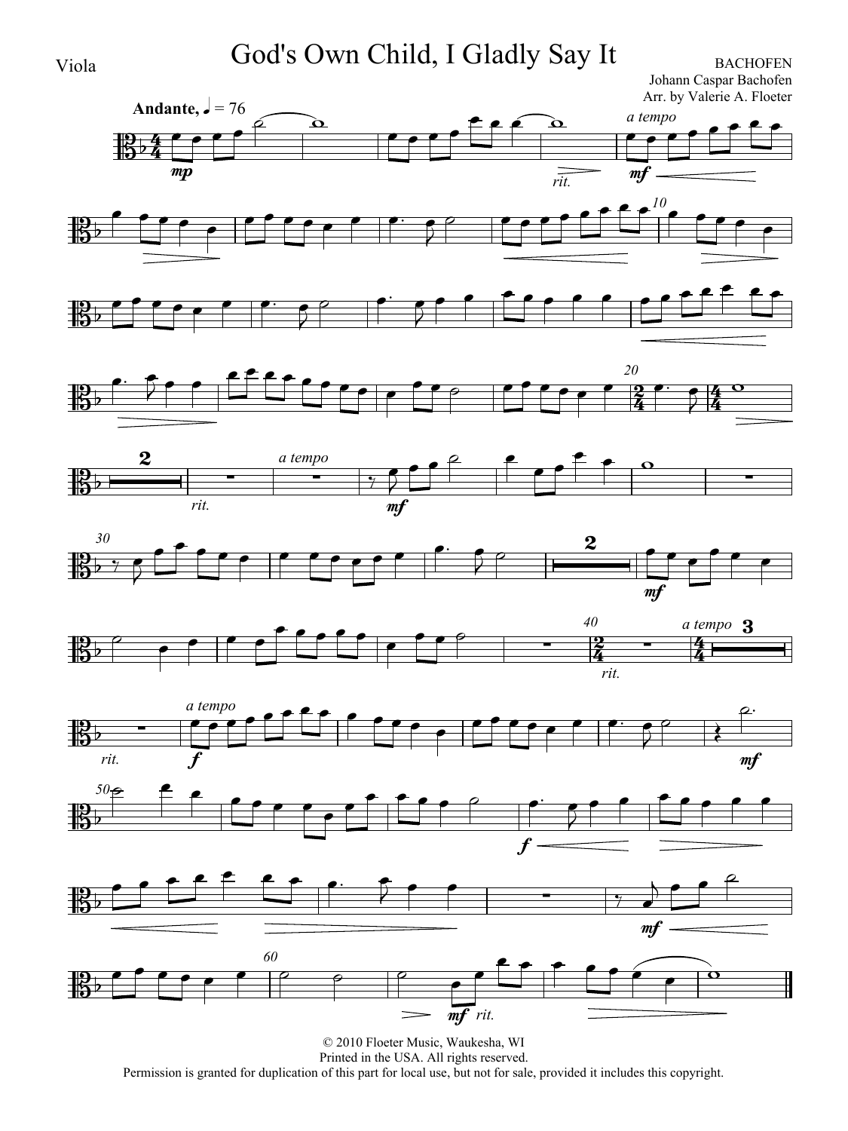Viola God's Own Child, I Gladly Say It BACHOFEN

Johann Caspar Bachofen Arr. by Valerie A. Floeter



















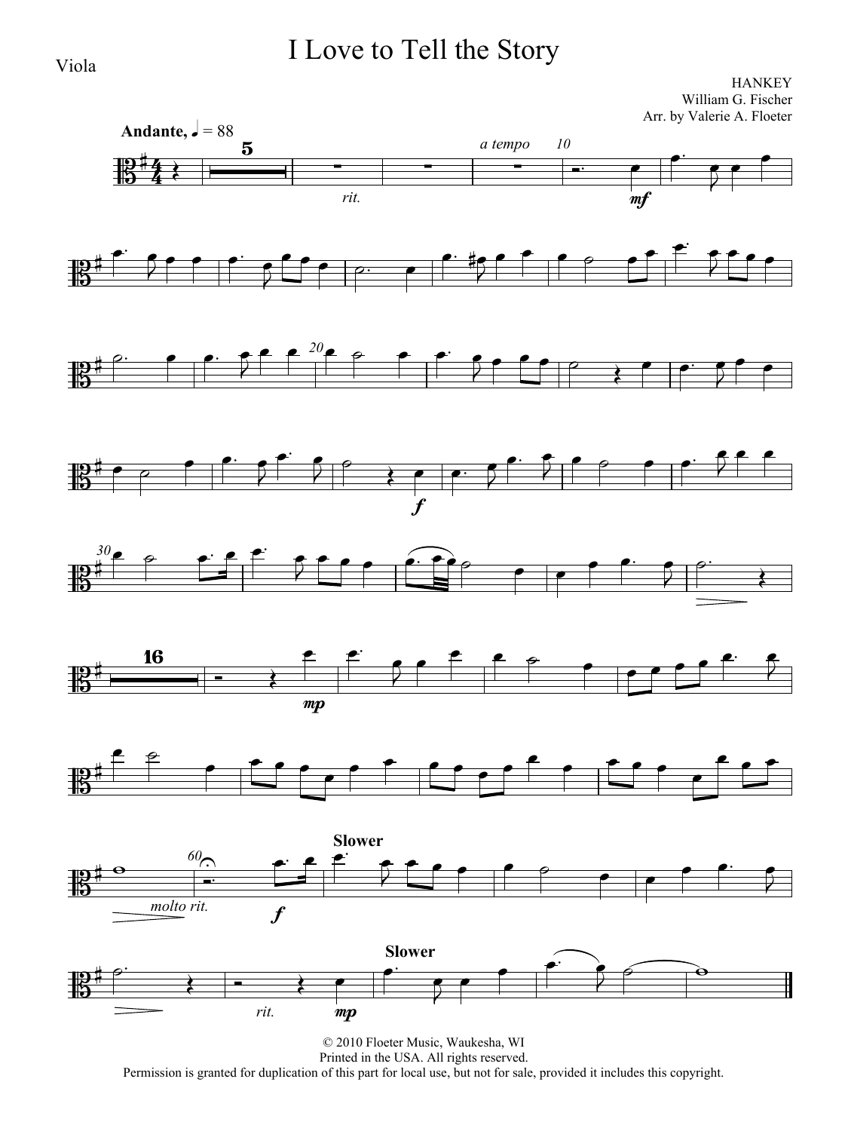## I Love to Tell the Story

**HANKEY** William G. Fischer Arr. by Valerie A. Floeter

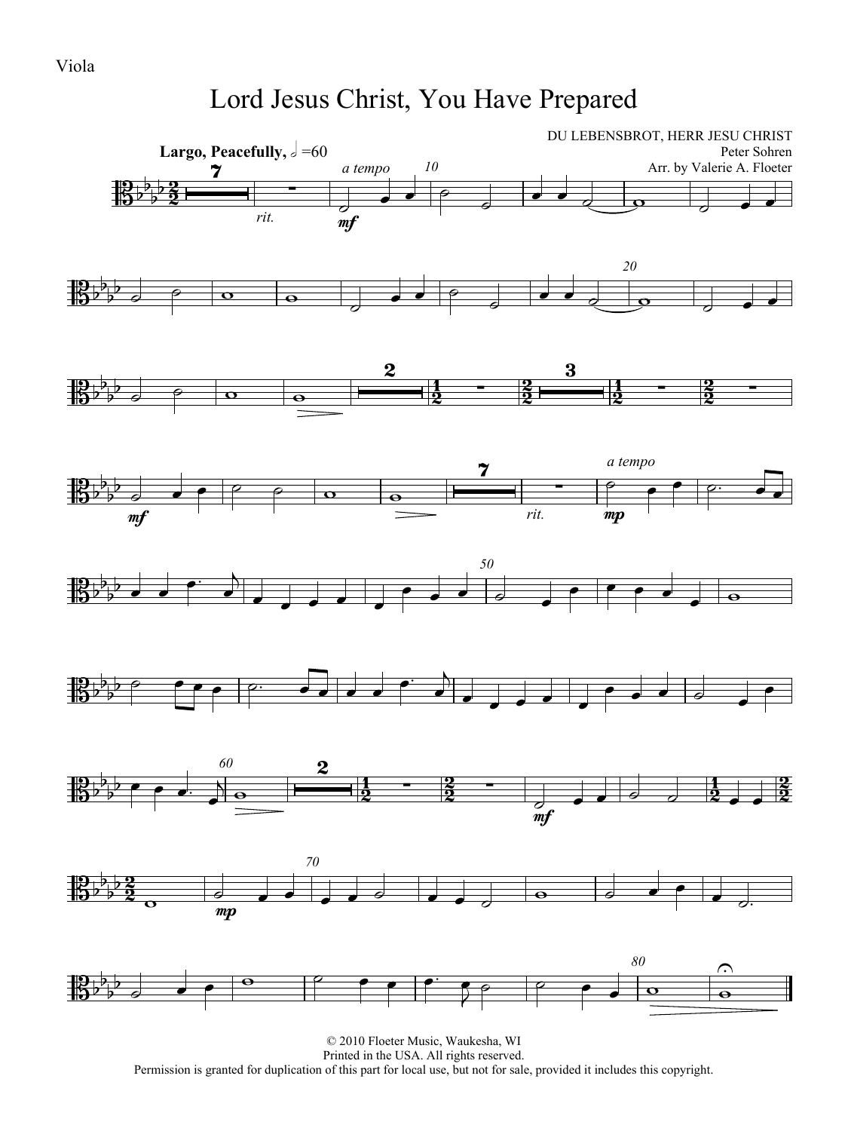## Lord Jesus Christ, You Have Prepared

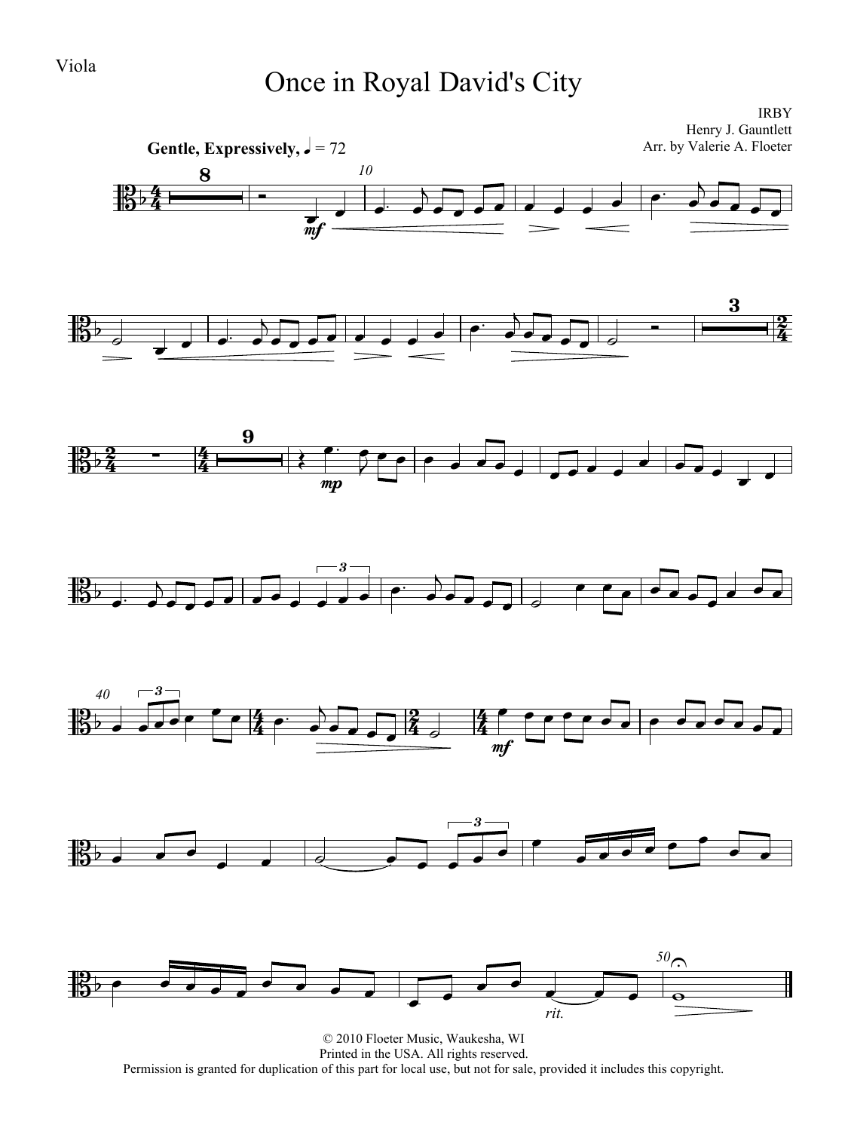# Viola Once in Royal David's City

IRBY Henry J. Gauntlett Arr. by Valerie A. Floeter



© 2010 Floeter Music, Waukesha, WI Printed in the USA. All rights reserved. Permission is granted for duplication of this part for local use, but not for sale, provided it includes this copyright.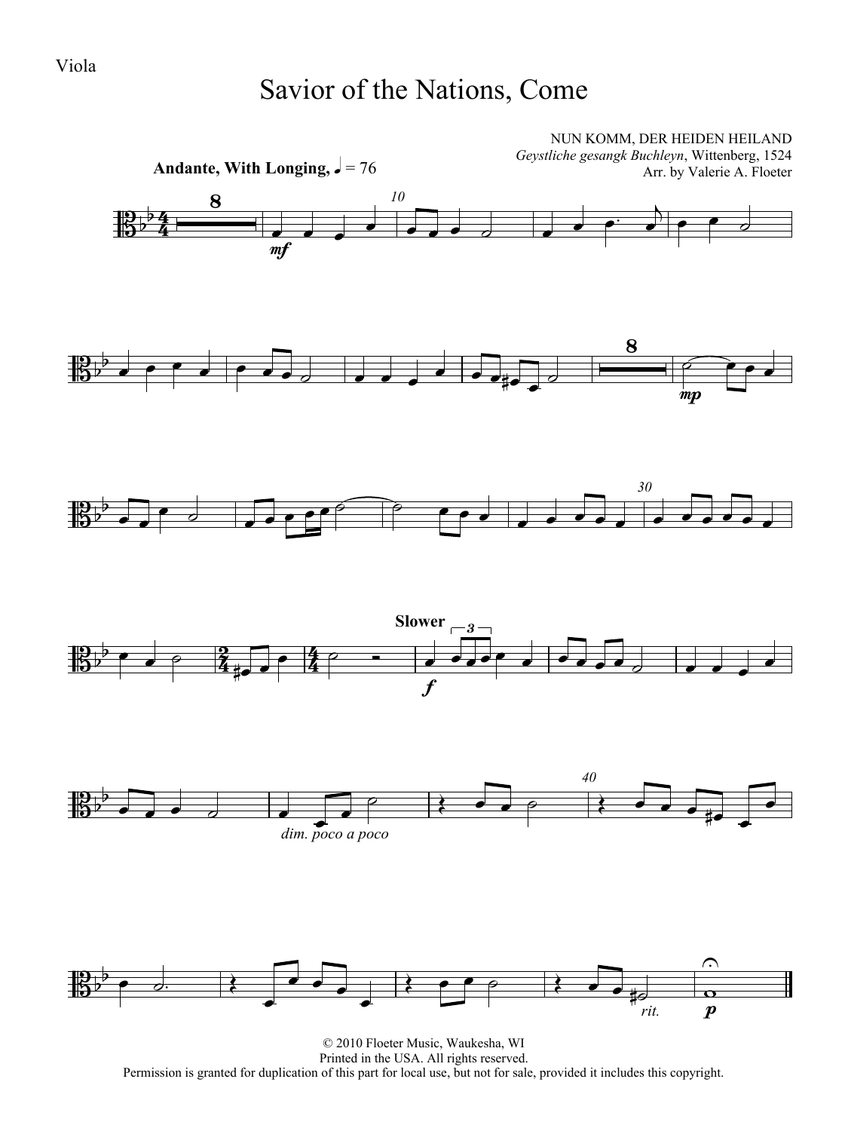Viola

## Savior of the Nations, Come



© 2010 Floeter Music, Waukesha, WI Printed in the USA. All rights reserved. Permission is granted for duplication of this part for local use, but not for sale, provided it includes this copyright.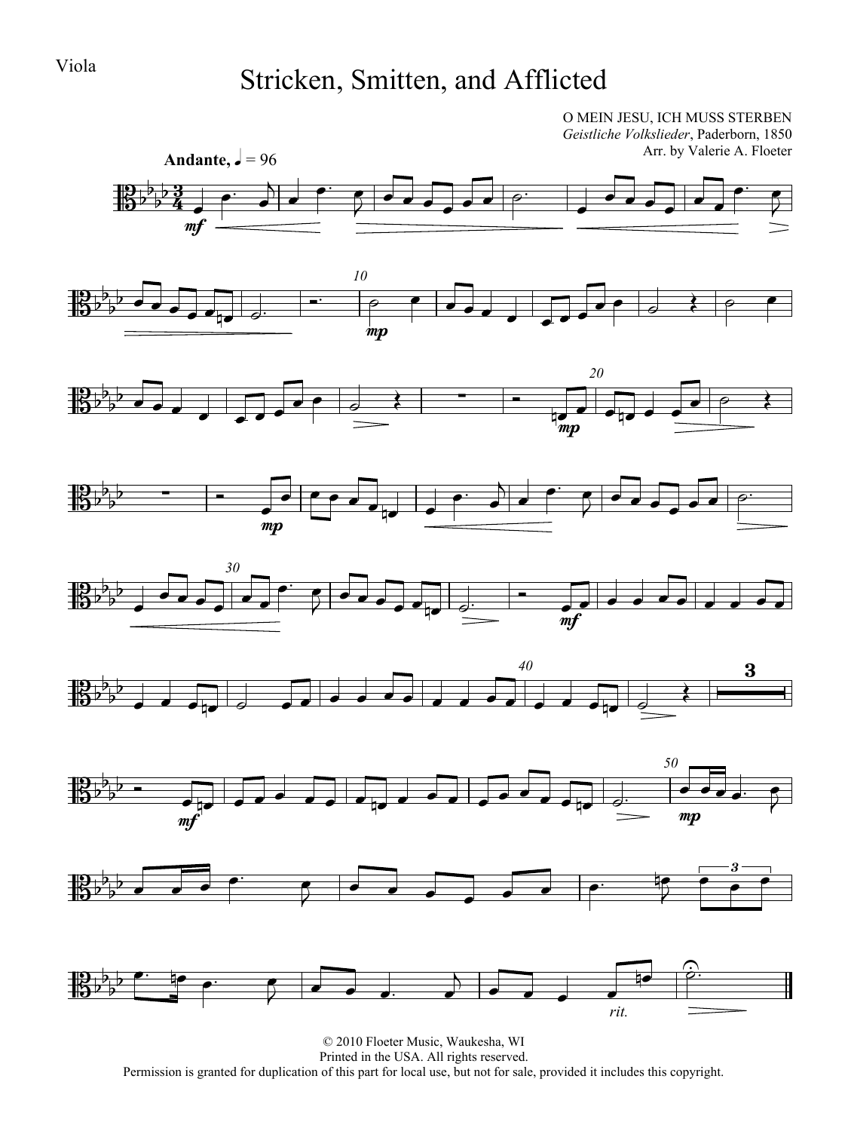# Viola Stricken, Smitten, and Afflicted

O MEIN JESU, ICH MUSS STERBEN

 $\overline{P}$ 

 $\overline{P}$ 

<u>3</u>  $\frac{3}{4}$ Andante,  $\sqrt{ } = 96$ *Geistliche Volkslieder*, Paderborn, 1850 Arr. by Valerie A. Floeter 捐  $\frac{1}{2}$  $\frac{1}{2}$  $\frac{1}{2}$ mf  $\overline{\phantom{a}}$  $\overrightarrow{\cdot}$   $\bullet$   $\bullet$   $\overrightarrow{a}$  $\overrightarrow{\cdot}$  $\overline{\phantom{a}}$ *10*  $\overline{\phantom{a}}$ mp  $\overrightarrow{a}$  $\bullet \bullet \bullet \bullet \bullet \bullet$ *20*  $\overline{\phantom{a}}$  $\bullet$   $\bullet$   $\bullet$   $\bullet$   $\bullet$   $\bullet$  $\frac{1}{mp}$   $\frac{1}{mp}$   $\frac{1}{mp}$   $\frac{1}{mp}$  $\rightarrow$  $\frac{1}{2}$ mp  $\overline{\phantom{a}}$  $\begin{array}{c|c|c|c|c|c} \hline \multicolumn{3}{c|}{\multicolumn{3}{c|}{\multicolumn{3}{c}{\multicolumn{3}{c}{\multicolumn{3}{c}{\multicolumn{3}{c}{\multicolumn{3}{c}{\multicolumn{3}{c}{\multicolumn{3}{c}{\multicolumn{3}{c}{\multicolumn{3}{c}{\multicolumn{3}{c}{\multicolumn{3}{c}{\multicolumn{3}{c}{\multicolumn{3}{c}{\multicolumn{3}{c}{\multicolumn{3}{c}{\multicolumn{3}{c}{\multicolumn{3}{c}{\multicolumn{3}{c}{\multicolumn{3}{c}{\multicolumn{3}{c}{$  $\bullet$   $\bullet$   $\bullet$  $\bullet$   $\bullet$   $\bullet$   $\bullet$   $\bullet$   $\bullet$ *30*  $\overline{\phantom{a}}$  $\overrightarrow{a}$  $\overrightarrow{ }$  $\frac{1}{\sqrt{2}}$  $\begin{array}{|c|c|c|c|c|}\hline \rule{0pt}{1ex} \rule{0pt}{2.5ex} \rule{0pt}{2.5ex} \rule{0pt}{2.5ex} \rule{0pt}{2.5ex} \rule{0pt}{2.5ex} \rule{0pt}{2.5ex} \rule{0pt}{2.5ex} \rule{0pt}{2.5ex} \rule{0pt}{2.5ex} \rule{0pt}{2.5ex} \rule{0pt}{2.5ex} \rule{0pt}{2.5ex} \rule{0pt}{2.5ex} \rule{0pt}{2.5ex} \rule{0pt}{2.5ex} \rule{0pt}{2.5ex} \rule{0pt}{2.5ex} \rule{0pt$ mf  $\overline{\phantom{a}}$ *40* 3 *50*  $\frac{1}{2}$ mf mp  $\overrightarrow{z}$  $\frac{1}{2}$  ₹ 3  $\begin{array}{c} \overline{\phantom{a}}^{3} \ \end{array}$ © 2010 Floeter Music, Waukesha, WI Printed in the USA. All rights reserved.  $\frac{1}{2}$  $\overrightarrow{a}$  $\begin{array}{|c|c|c|c|}\n\hline\n\text{ } & \text{ } & \text{ } & \text{ } \\
\hline\n\text{ } & \text{ } & \text{ } & \text{ } & \text{ } \\
\hline\n\end{array}$ *rit.*  $\overline{\phantom{a}}$  $\overline{\bullet}$  $\widehat{\mathcal{C}}$ <u>ဉ်</u>

Permission is granted for duplication of this part for local use, but not for sale, provided it includes this copyright.

╬

╫

邦

 $\frac{1}{15}$  $\frac{1}{2}$  $\frac{1}{2}$  $\overline{\mathbf{b}}$ 

 $\frac{16}{16}$ 

╉

 $\mathbb{B}^{\mathsf{b}}$  $\frac{1}{2}$  $\frac{1}{2}$ 

載

 $\frac{1}{2}$  $\frac{1}{2}$ 

 $\frac{1}{2}$  $\frac{1}{2}$  $\frac{1}{2}$ 

 $\frac{1}{2}$  $\frac{1}{2}$ 

 $\frac{1}{2}$  $\frac{1}{2}$ 

 $\frac{1}{2}$  $\frac{1}{2}$ 

 $\frac{1}{2}$  $\frac{1}{2}$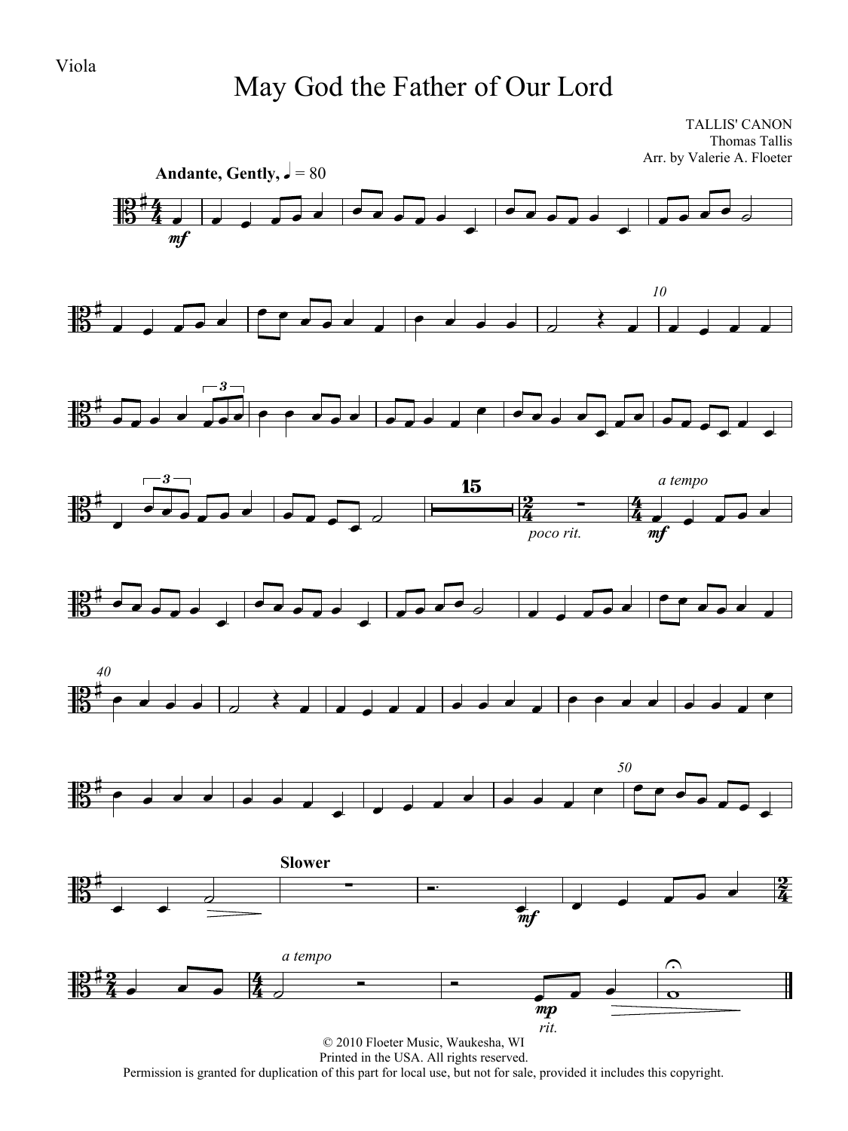## May God the Father of Our Lord

TALLIS' CANON Thomas Tallis Arr. by Valerie A. Floeter



Printed in the USA. All rights reserved.

Permission is granted for duplication of this part for local use, but not for sale, provided it includes this copyright.